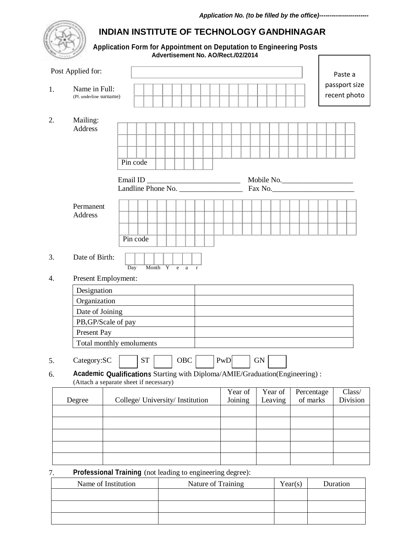## **INDIAN INSTITUTE OF TECHNOLOGY GANDHINAGAR**

 **Application Form for Appointment on Deputation to Engineering Posts Advertisement No. AO/Rect./02/2014**

|    | Post Applied for:                           |                                                                                                                       | Paste a                       |
|----|---------------------------------------------|-----------------------------------------------------------------------------------------------------------------------|-------------------------------|
| 1. | Name in Full:<br>(Pl. underline surname)    |                                                                                                                       | passport size<br>recent photo |
| 2. | Mailing:<br>Address<br>Permanent<br>Address | Pin code<br>Email ID<br>Mobile No.<br>Email ID<br>Landline Phone No.<br>Fax No.<br>Pin code                           |                               |
| 3. | Date of Birth:                              | Month Y e a r<br>$\overline{Day}$                                                                                     |                               |
| 4. |                                             | Present Employment:                                                                                                   |                               |
|    | Designation                                 |                                                                                                                       |                               |
|    | Organization                                |                                                                                                                       |                               |
|    | Date of Joining                             |                                                                                                                       |                               |
|    |                                             | PB, GP/Scale of pay                                                                                                   |                               |
|    | Present Pay                                 |                                                                                                                       |                               |
|    |                                             | Total monthly emoluments                                                                                              |                               |
| 5. | Category:SC                                 | <b>ST</b><br>OBC<br>PwD<br><b>GN</b>                                                                                  |                               |
| 6. |                                             | Academic Qualifications Starting with Diploma/AMIE/Graduation(Engineering):<br>(Attach a separate sheet if necessary) |                               |
|    | Degree                                      | Year of<br>Year of<br>Percentage<br>of marks<br>Joining<br>College/ University/ Institution<br>Leaving                | Class/<br>Division            |
|    |                                             |                                                                                                                       |                               |
|    |                                             |                                                                                                                       |                               |
|    |                                             |                                                                                                                       |                               |
|    |                                             |                                                                                                                       |                               |
|    |                                             |                                                                                                                       |                               |
| 7. |                                             | Professional Training (not leading to engineering degree):                                                            |                               |

Name of Institution Nature of Training Year(s) Duration